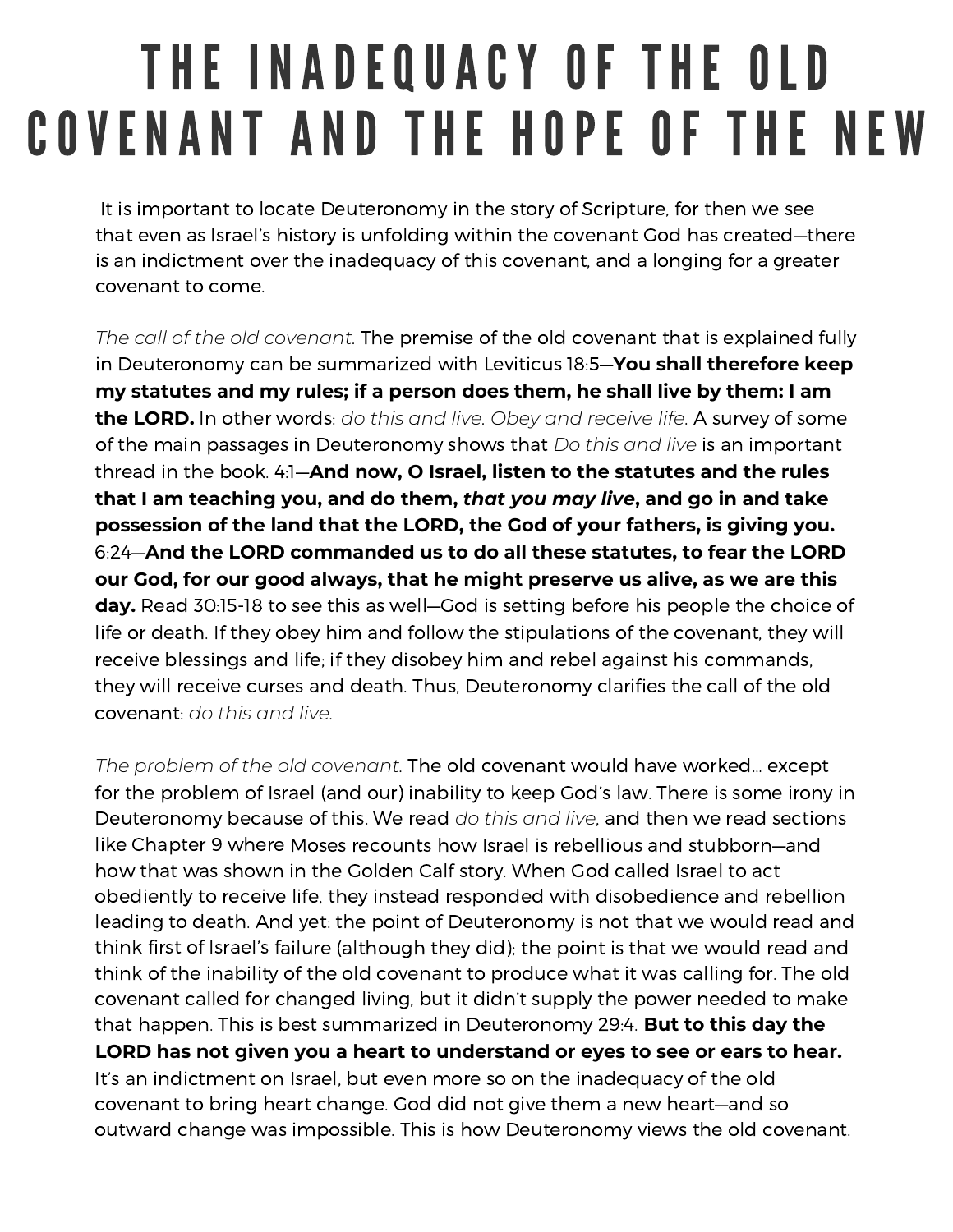## THE INADEQUACY OF THE OLD COVENANT AND THE HOPE OF THE NEW

It is important to locate Deuteronomy in the story of Scripture, for then we see that even as Israel's history is unfolding within the covenant God has created—there is an indictment over the inadequacy of this covenant, and <sup>a</sup> longing for <sup>a</sup> greater covenant to come.

*The call of the old covenant.* The premise of the old covenant that is explained fully in Deuteronomy can be summarized with Leviticus 18:5—**You shall therefore keep my statutes and my rules; if <sup>a</sup> person does them, he shall live by them: I am the LORD.** In other words: *do this and live. Obey and receive life*. A survey of some of the main passages in Deuteronomy shows that *Do this and live* is an important thread in the book. 4:1—**And now, O Israel, listen to the statutes and the rules that I am teaching you, and do them,** *that you may live***, and go in and take possession of the land that the LORD, the God of your fathers, is giving you.** 6:24—**And the LORD commanded us to do all these statutes, to fear the LORD our God, for our good always, that he might preserve us alive, as we are this day.** Read 30:15-18 to see this as well—God is setting before his people the choice of life or death. If they obey him and follow the stipulations of the covenant, they will receive blessings and life; if they disobey him and rebel against his commands, they will receive curses and death. Thus, Deuteronomy clarifies the call of the old covenant: *do this and live.*

*The problem of the old covenant.* The old covenant would have worked… except for the problem of Israel (and our) inability to keep God's law. There is some irony in Deuteronomy because of this. We read *do this and live*, and then we read sections like Chapter 9 where Moses recounts how Israel is rebellious and stubborn—and how that was shown in the Golden Calf story. When God called Israel to act obediently to receive life, they instead responded with disobedience and rebellion leading to death. And yet: the point of Deuteronomy is not that we would read and think first of Israel's failure (although they did); the point is that we would read and think of the inability of the old covenant to produce what it was calling for. The old covenant called for changed living, but it didn't supply the power needed to make that happen. This is best summarized in Deuteronomy 29:4. **But to this day the LORD has not given you <sup>a</sup> heart to understand or eyes to see or ears to hear.** It's an indictment on Israel, but even more so on the inadequacy of the old covenant to bring heart change. God did not give them <sup>a</sup> new heart—and so outward change was impossible. This is how Deuteronomy views the old covenant.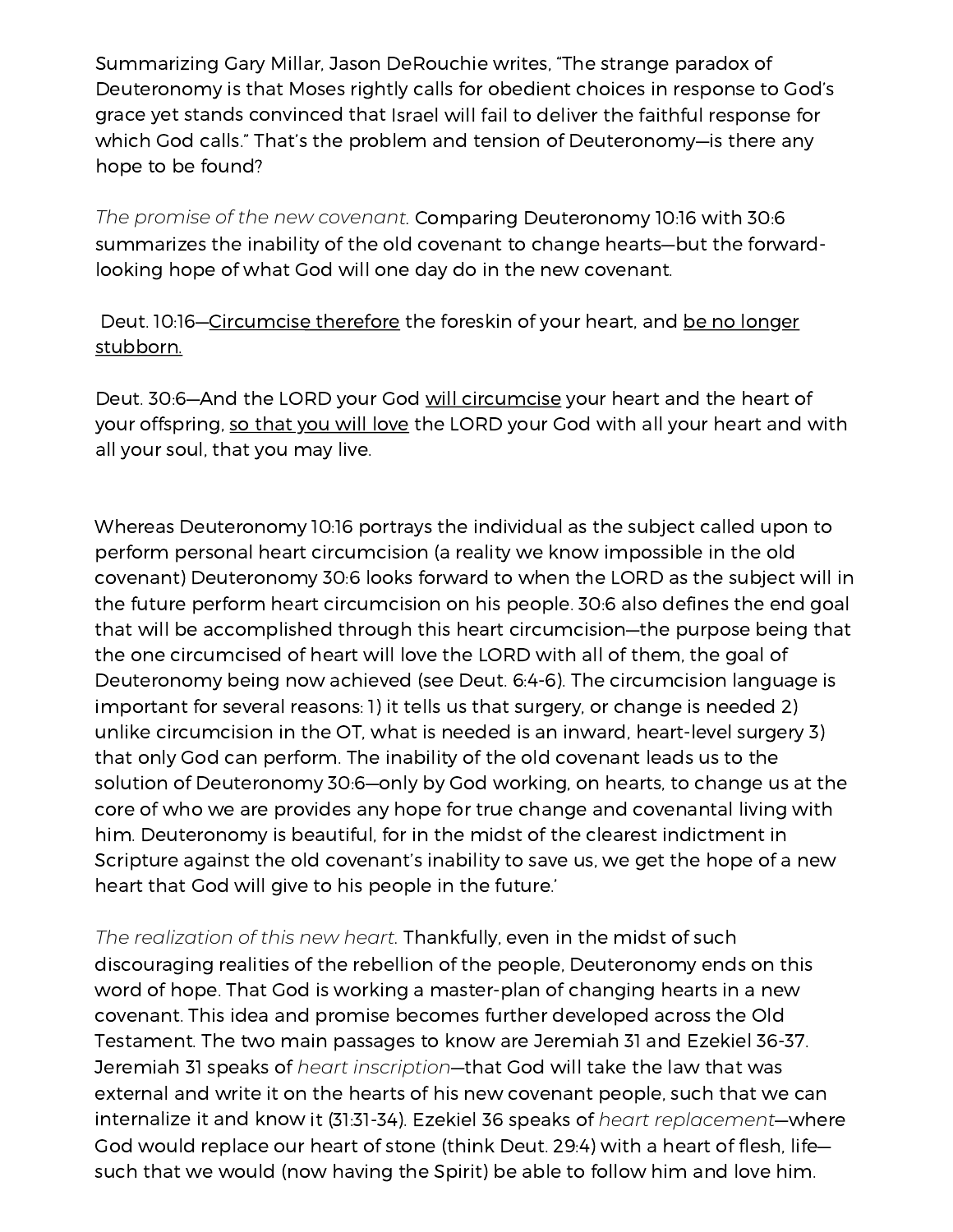Summarizing Gary Millar, Jason DeRouchie writes, "The strange paradox of Deuteronomy is that Moses rightly calls for obedient choices in response to God's grace yet stands convinced that Israel will fail to deliver the faithful response for which God calls." That's the problem and tension of Deuteronomy—is there any hope to be found?

*The promise of the new covenant.* Comparing Deuteronomy 10:16 with 30:6 summarizes the inability of the old covenant to change hearts—but the forwardlooking hope of what God will one day do in the new covenant.

Deut. 10:16—Circumcise therefore the foreskin of your heart, and be no longer stubborn.

Deut. 30:6—And the LORD your God will circumcise your heart and the heart of your offspring, so that you will love the LORD your God with all your heart and with all your soul, that you may live.

Whereas Deuteronomy 10:16 portrays the individual as the subject called upon to perform personal heart circumcision (a reality we know impossible in the old covenant) Deuteronomy 30:6 looks forward to when the LORD as the subject will in the future perform heart circumcision on his people. 30:6 also defines the end goal that will be accomplished through this heart circumcision—the purpose being that the one circumcised of heart will love the LORD with all of them, the goal of Deuteronomy being now achieved (see Deut. 6:4-6). The circumcision language is important for several reasons: 1) it tells us that surgery, or change is needed 2) unlike circumcision in the OT, what is needed is an inward, heart-level surgery 3) that only God can perform. The inability of the old covenant leads us to the solution of Deuteronomy 30:6—only by God working, on hearts, to change us at the core of who we are provides any hope for true change and covenantal living with him. Deuteronomy is beautiful, for in the midst of the clearest indictment in Scripture against the old covenant's inability to save us, we get the hope of <sup>a</sup> new heart that God will give to his people in the future.'

*The realization of this new heart.* Thankfully, even in the midst of such discouraging realities of the rebellion of the people, Deuteronomy ends on this word of hope. That God is working <sup>a</sup> master-plan of changing hearts in <sup>a</sup> new covenant. This idea and promise becomes further developed across the Old Testament. The two main passages to know are Jeremiah 31 and Ezekiel 36-37. Jeremiah 31 speaks of *heart inscription*—that God will take the law that was external and write it on the hearts of his new covenant people, such that we can internalize it and know it (31:31-34). Ezekiel 36 speaks of *heart replacement*—where God would replace our heart of stone (think Deut. 29:4) with <sup>a</sup> heart of flesh, life such that we would (now having the Spirit) be able to follow him and love him.